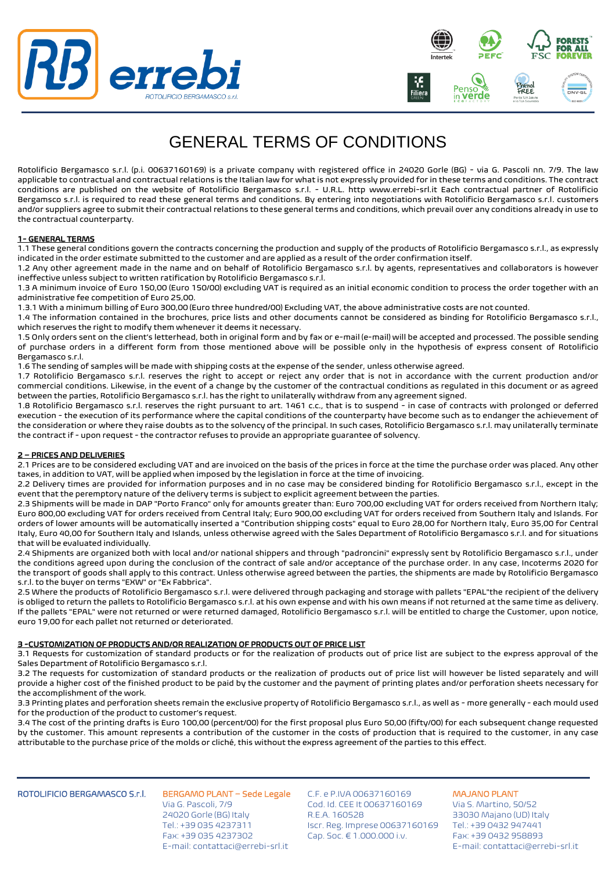



# GENERAL TERMS OF CONDITIONS

Rotolificio Bergamasco s.r.l. (p.i. 00637160169) is a private company with registered office in 24020 Gorle (BG) - via G. Pascoli nn. 7/9. The law applicable to contractual and contractual relations is the Italian law for what is not expressly provided for in these terms and conditions. The contract conditions are published on the website of Rotolificio Bergamasco s.r.l. - U.R.L. http www.errebi-srl.it Each contractual partner of Rotolificio Bergamsco s.r.l. is required to read these general terms and conditions. By entering into negotiations with Rotolificio Bergamasco s.r.l. customers and/or suppliers agree to submit their contractual relations to these general terms and conditions, which prevail over any conditions already in use to the contractual counterparty.

### 1- GENERAL TERMS

1.1 These general conditions govern the contracts concerning the production and supply of the products of Rotolificio Bergamasco s.r.l., as expressly indicated in the order estimate submitted to the customer and are applied as a result of the order confirmation itself.

1.2 Any other agreement made in the name and on behalf of Rotolificio Bergamasco s.r.l. by agents, representatives and collaborators is however ineffective unless subject to written ratification by Rotolificio Bergamasco s.r.l.

1.3 A minimum invoice of Euro 150,00 (Euro 150/00) excluding VAT is required as an initial economic condition to process the order together with an administrative fee competition of Euro 25,00.

1.3.1 With a minimum billing of Euro 300,00 (Euro three hundred/00) Excluding VAT, the above administrative costs are not counted.

1.4 The information contained in the brochures, price lists and other documents cannot be considered as binding for Rotolificio Bergamasco s.r.l., which reserves the right to modify them whenever it deems it necessary.

1.5 Only orders sent on the client's letterhead, both in original form and by fax or e-mail (e-mail) will be accepted and processed. The possible sending of purchase orders in a different form from those mentioned above will be possible only in the hypothesis of express consent of Rotolificio Bergamasco s.r.l.

1.6 The sending of samples will be made with shipping costs at the expense of the sender, unless otherwise agreed.

1.7 Rotolificio Bergamasco s.r.l. reserves the right to accept or reject any order that is not in accordance with the current production and/or commercial conditions. Likewise, in the event of a change by the customer of the contractual conditions as regulated in this document or as agreed between the parties, Rotolificio Bergamasco s.r.l. has the right to unilaterally withdraw from any agreement signed.

1.8 Rotolificio Bergamasco s.r.l. reserves the right pursuant to art. 1461 c.c., that is to suspend - in case of contracts with prolonged or deferred execution - the execution of its performance where the capital conditions of the counterparty have become such as to endanger the achievement of the consideration or where they raise doubts as to the solvency of the principal. In such cases, Rotolificio Bergamasco s.r.l. may unilaterally terminate the contract if - upon request - the contractor refuses to provide an appropriate guarantee of solvency.

## 2 – PRICES AND DELIVERIES

2.1 Prices are to be considered excluding VAT and are invoiced on the basis of the prices in force at the time the purchase order was placed. Any other taxes, in addition to VAT, will be applied when imposed by the legislation in force at the time of invoicing.

2.2 Delivery times are provided for information purposes and in no case may be considered binding for Rotolificio Bergamasco s.r.l., except in the event that the peremptory nature of the delivery terms is subject to explicit agreement between the parties.

2.3 Shipments will be made in DAP "Porto Franco" only for amounts greater than: Euro 700,00 excluding VAT for orders received from Northern Italy; Euro 800,00 excluding VAT for orders received from Central Italy; Euro 900,00 excluding VAT for orders received from Southern Italy and Islands. For orders of lower amounts will be automatically inserted a "Contribution shipping costs" equal to Euro 28,00 for Northern Italy, Euro 35,00 for Central Italy, Euro 40,00 for Southern Italy and Islands, unless otherwise agreed with the Sales Department of Rotolificio Bergamasco s.r.l. and for situations that will be evaluated individually.

2.4 Shipments are organized both with local and/or national shippers and through "padroncini" expressly sent by Rotolificio Bergamasco s.r.l., under the conditions agreed upon during the conclusion of the contract of sale and/or acceptance of the purchase order. In any case, Incoterms 2020 for the transport of goods shall apply to this contract. Unless otherwise agreed between the parties, the shipments are made by Rotolificio Bergamasco s.r.l. to the buyer on terms "EXW" or "Ex Fabbrica".

2.5 Where the products of Rotolificio Bergamasco s.r.l. were delivered through packaging and storage with pallets "EPAL"the recipient of the delivery is obliged to return the pallets to Rotolificio Bergamasco s.r.l. at his own expense and with his own means if not returned at the same time as delivery. If the pallets "EPAL" were not returned or were returned damaged, Rotolificio Bergamasco s.r.l. will be entitled to charge the Customer, upon notice, euro 19,00 for each pallet not returned or deteriorated.

## 3 -CUSTOMIZATION OF PRODUCTS AND/OR REALIZATION OF PRODUCTS OUT OF PRICE LIST

3.1 Requests for customization of standard products or for the realization of products out of price list are subject to the express approval of the Sales Department of Rotolificio Bergamasco s.r.l.

3.2 The requests for customization of standard products or the realization of products out of price list will however be listed separately and will provide a higher cost of the finished product to be paid by the customer and the payment of printing plates and/or perforation sheets necessary for the accomplishment of the work.

3.3 Printing plates and perforation sheets remain the exclusive property of Rotolificio Bergamasco s.r.l., as well as - more generally - each mould used for the production of the product to customer's request.

3.4 The cost of the printing drafts is Euro 100,00 (percent/00) for the first proposal plus Euro 50,00 (fifty/00) for each subsequent change requested by the customer. This amount represents a contribution of the customer in the costs of production that is required to the customer, in any case attributable to the purchase price of the molds or cliché, this without the express agreement of the parties to this effect.

### ROTOLIFICIO BERGAMASCO S.r.l.

BERGAMO PLANT – Sede Legale Via G. Pascoli, 7/9 24020 Gorle (BG) Italy Tel.: +39 035 4237311 Fax: +39 035 4237302 E-mail: contattaci@errebi-srl.it

C.F. e P.IVA 00637160169 Cod. Id. CEE It 00637160169 R.E.A. 160528 Iscr. Reg. Imprese 00637160169 Cap. Soc. € 1.000.000 i.v.

MAJANO PLANT Via S. Martino, 50/52 33030 Majano (UD) Italy Tel.: +39 0432 947441 Fax: +39 0432 958893 E-mail: contattaci@errebi-srl.it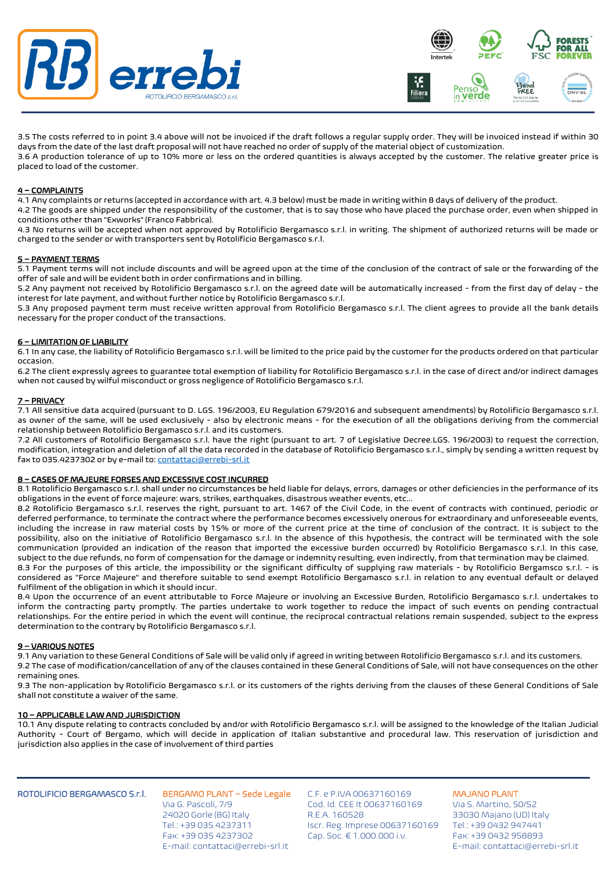



3.5 The costs referred to in point 3.4 above will not be invoiced if the draft follows a regular supply order. They will be invoiced instead if within 30 days from the date of the last draft proposal will not have reached no order of supply of the material object of customization. 3.6 A production tolerance of up to 10% more or less on the ordered quantities is always accepted by the customer. The relative greater price is placed to load of the customer.

### 4 – COMPLAINTS

4.1 Any complaints or returns (accepted in accordance with art. 4.3 below) must be made in writing within 8 days of delivery of the product.

4.2 The goods are shipped under the responsibility of the customer, that is to say those who have placed the purchase order, even when shipped in conditions other than "Exworks" (Franco Fabbrica).

4.3 No returns will be accepted when not approved by Rotolificio Bergamasco s.r.l. in writing. The shipment of authorized returns will be made or charged to the sender or with transporters sent by Rotolificio Bergamasco s.r.l.

### 5 – PAYMENT TERMS

5.1 Payment terms will not include discounts and will be agreed upon at the time of the conclusion of the contract of sale or the forwarding of the offer of sale and will be evident both in order confirmations and in billing.

5.2 Any payment not received by Rotolificio Bergamasco s.r.l. on the agreed date will be automatically increased - from the first day of delay - the interest for late payment, and without further notice by Rotolificio Bergamasco s.r.l.

5.3 Any proposed payment term must receive written approval from Rotolificio Bergamasco s.r.l. The client agrees to provide all the bank details necessary for the proper conduct of the transactions.

### 6 – LIMITATION OF LIABILITY

6.1 In any case, the liability of Rotolificio Bergamasco s.r.l. will be limited to the price paid by the customer for the products ordered on that particular occasion.

6.2 The client expressly agrees to guarantee total exemption of liability for Rotolificio Bergamasco s.r.l. in the case of direct and/or indirect damages when not caused by wilful misconduct or gross negligence of Rotolificio Bergamasco s.r.l.

### 7 – PRIVACY

7.1 All sensitive data acquired (pursuant to D. LGS. 196/2003, EU Regulation 679/2016 and subsequent amendments) by Rotolificio Bergamasco s.r.l. as owner of the same, will be used exclusively - also by electronic means - for the execution of all the obligations deriving from the commercial relationship between Rotolificio Bergamasco s.r.l. and its customers.

7.2 All customers of Rotolificio Bergamasco s.r.l. have the right (pursuant to art. 7 of Legislative Decree.LGS. 196/2003) to request the correction, modification, integration and deletion of all the data recorded in the database of Rotolificio Bergamasco s.r.l., simply by sending a written request by fax to 035.4237302 or by e-mail to[: contattaci@errebi-srl.it](mailto:contattaci@errebi-srl.it)

### 8 – CASES OF MAJEURE FORSES AND EXCESSIVE COST INCURRED

8.1 Rotolificio Bergamasco s.r.l. shall under no circumstances be held liable for delays, errors, damages or other deficiencies in the performance of its obligations in the event of force majeure: wars, strikes, earthquakes, disastrous weather events, etc...

8.2 Rotolificio Bergamasco s.r.l. reserves the right, pursuant to art. 1467 of the Civil Code, in the event of contracts with continued, periodic or deferred performance, to terminate the contract where the performance becomes excessively onerous for extraordinary and unforeseeable events, including the increase in raw material costs by 15% or more of the current price at the time of conclusion of the contract. It is subject to the possibility, also on the initiative of Rotolificio Bergamasco s.r.l. In the absence of this hypothesis, the contract will be terminated with the sole communication (provided an indication of the reason that imported the excessive burden occurred) by Rotolificio Bergamasco s.r.l. In this case, subject to the due refunds, no form of compensation for the damage or indemnity resulting, even indirectly, from that termination may be claimed.

8.3 For the purposes of this article, the impossibility or the significant difficulty of supplying raw materials - by Rotolificio Bergamsco s.r.l. - is considered as "Force Majeure" and therefore suitable to send exempt Rotolificio Bergamasco s.r.l. in relation to any eventual default or delayed fulfilment of the obligation in which it should incur.

8.4 Upon the occurrence of an event attributable to Force Majeure or involving an Excessive Burden, Rotolificio Bergamasco s.r.l. undertakes to inform the contracting party promptly. The parties undertake to work together to reduce the impact of such events on pending contractual relationships. For the entire period in which the event will continue, the reciprocal contractual relations remain suspended, subject to the express determination to the contrary by Rotolificio Bergamasco s.r.l.

### 9 – VARIOUS NOTES

9.1 Any variation to these General Conditions of Sale will be valid only if agreed in writing between Rotolificio Bergamasco s.r.l. and its customers. 9.2 The case of modification/cancellation of any of the clauses contained in these General Conditions of Sale, will not have consequences on the other remaining ones.

9.3 The non-application by Rotolificio Bergamasco s.r.l. or its customers of the rights deriving from the clauses of these General Conditions of Sale shall not constitute a waiver of the same.

### 10 – APPLICABLE LAW AND JURISDICTION

10.1 Any dispute relating to contracts concluded by and/or with Rotolificio Bergamasco s.r.l. will be assigned to the knowledge of the Italian Judicial Authority - Court of Bergamo, which will decide in application of Italian substantive and procedural law. This reservation of jurisdiction and jurisdiction also applies in the case of involvement of third parties

### ROTOLIFICIO BERGAMASCO S.r.l.

BERGAMO PLANT – Sede Legale Via G. Pascoli, 7/9 24020 Gorle (BG) Italy Tel.: +39 035 4237311 Fax: +39 035 4237302 E-mail: contattaci@errebi-srl.it

C.F. e P.IVA 00637160169 Cod. Id. CEE It 00637160169 R.E.A. 160528 Iscr. Reg. Imprese 00637160169 Cap. Soc. € 1.000.000 i.v.

MAJANO PLANT Via S. Martino, 50/52 33030 Majano (UD) Italy Tel.: +39 0432 947441 Fax: +39 0432 958893 E-mail: contattaci@errebi-srl.it